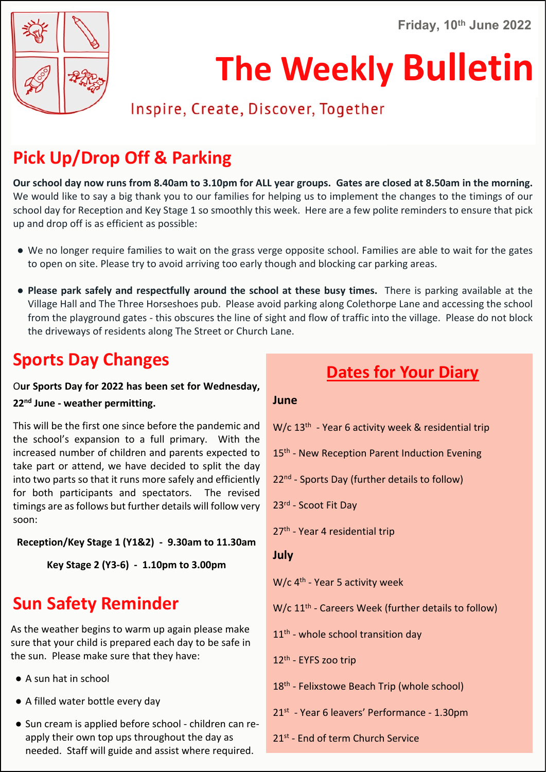**Friday, 10th June 2022**



# **The Weekly Bulletin**

# Inspire, Create, Discover, Together

# **Pick Up/Drop Off & Parking**

**Our school day now runs from 8.40am to 3.10pm for ALL year groups. Gates are closed at 8.50am in the morning.** We would like to say a big thank you to our families for helping us to implement the changes to the timings of our school day for Reception and Key Stage 1 so smoothly this week. Here are a few polite reminders to ensure that pick up and drop off is as efficient as possible:

- We no longer require families to wait on the grass verge opposite school. Families are able to wait for the gates to open on site. Please try to avoid arriving too early though and blocking car parking areas.
- **Please park safely and respectfully around the school at these busy times.** There is parking available at the Village Hall and The Three Horseshoes pub. Please avoid parking along Colethorpe Lane and accessing the school from the playground gates - this obscures the line of sight and flow of traffic into the village. Please do not block the driveways of residents along The Street or Church Lane.

# **Sports Day Changes**

O**ur Sports Day for 2022 has been set for Wednesday, 22nd June - weather permitting.**

This will be the first one since before the pandemic and the school's expansion to a full primary. With the increased number of children and parents expected to take part or attend, we have decided to split the day into two parts so that it runs more safely and efficiently for both participants and spectators. The revised timings are as follows but further details will follow very soon:

**Reception/Key Stage 1 (Y1&2) - 9.30am to 11.30am**

**Key Stage 2 (Y3-6) - 1.10pm to 3.00pm**

# **Sun Safety Reminder**

As the weather begins to warm up again please make sure that your child is prepared each day to be safe in the sun. Please make sure that they have:

- A sun hat in school
- A filled water bottle every day
- Sun cream is applied before school children can reapply their own top ups throughout the day as needed. Staff will guide and assist where required.

# **Dates for Your Diary**

#### **June**

- W/c 13<sup>th</sup> Year 6 activity week & residential trip
- 15<sup>th</sup> New Reception Parent Induction Evening
- 22<sup>nd</sup> Sports Day (further details to follow)

23rd - Scoot Fit Day

- 27<sup>th</sup> Year 4 residential trip
- **July**

W/c 4<sup>th</sup> - Year 5 activity week

W/c 11<sup>th</sup> - Careers Week (further details to follow)

- 11<sup>th</sup> whole school transition day
- 12th EYFS zoo trip
- 18<sup>th</sup> Felixstowe Beach Trip (whole school)
- 21st Year 6 leavers' Performance 1.30pm
- 21<sup>st</sup> End of term Church Service